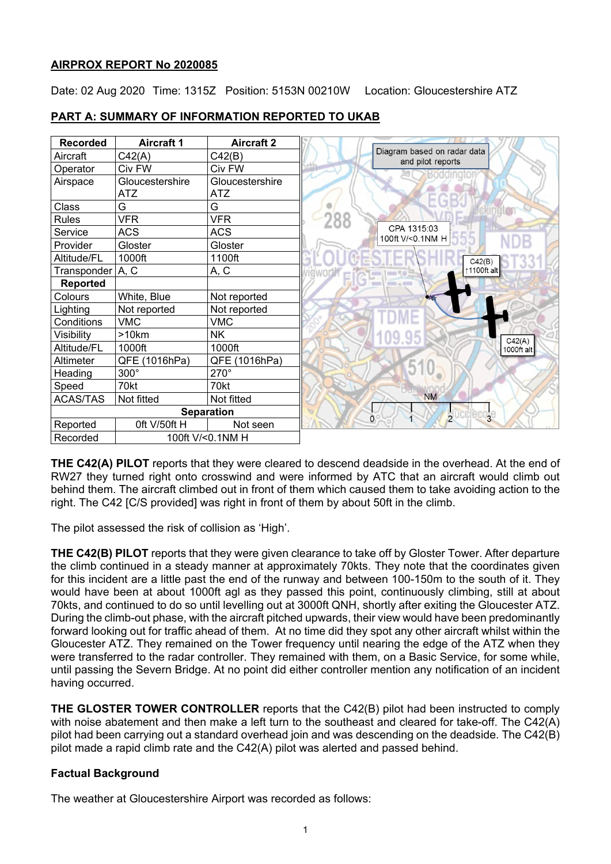## **AIRPROX REPORT No 2020085**

Date: 02 Aug 2020 Time: 1315Z Position: 5153N 00210W Location: Gloucestershire ATZ

| <b>Recorded</b>              | <b>Aircraft 1</b> | <b>Aircraft 2</b> |                                                  |
|------------------------------|-------------------|-------------------|--------------------------------------------------|
| Aircraft                     | C42(A)            | C42(B)            | Diagram based on radar data<br>and pilot reports |
| Operator                     | Civ FW            | Civ FW            |                                                  |
| Airspace                     | Gloucestershire   | Gloucestershire   |                                                  |
|                              | <b>ATZ</b>        | ATZ               |                                                  |
| Class                        | G                 | G                 |                                                  |
| <b>Rules</b>                 | <b>VFR</b>        | <b>VFR</b>        |                                                  |
| Service                      | <b>ACS</b>        | <b>ACS</b>        | CPA 1315:03<br>100ft V/<0.1NM H                  |
| Provider                     | Gloster           | Gloster           |                                                  |
| Altitude/FL                  | 1000ft            | 1100ft            | C42(B)                                           |
| Transponder   A, C           |                   | A, C              | ↑1100ft alt                                      |
| <b>Reported</b>              |                   |                   |                                                  |
| Colours                      | White, Blue       | Not reported      |                                                  |
| Lighting                     | Not reported      | Not reported      |                                                  |
| Conditions                   | <b>VMC</b>        | <b>VMC</b>        |                                                  |
| Visibility                   | >10km             | NΚ                | C42(A)                                           |
| Altitude/FL                  | 1000ft            | 1000ft            | 1000ft alt                                       |
| Altimeter                    | QFE (1016hPa)     | QFE (1016hPa)     |                                                  |
| Heading                      | $300^\circ$       | 270°              |                                                  |
| Speed                        | 70kt              | 70kt              |                                                  |
| <b>ACAS/TAS</b>              | Not fitted        | Not fitted        | <b>NM</b>                                        |
|                              |                   | <b>Separation</b> | 2ucclect<br>$\overline{3}$                       |
| Reported                     | Oft V/50ft H      | Not seen          | 0                                                |
| 100ft V/<0.1NM H<br>Recorded |                   |                   |                                                  |

# **PART A: SUMMARY OF INFORMATION REPORTED TO UKAB**

**THE C42(A) PILOT** reports that they were cleared to descend deadside in the overhead. At the end of RW27 they turned right onto crosswind and were informed by ATC that an aircraft would climb out behind them. The aircraft climbed out in front of them which caused them to take avoiding action to the right. The C42 [C/S provided] was right in front of them by about 50ft in the climb.

The pilot assessed the risk of collision as 'High'.

**THE C42(B) PILOT** reports that they were given clearance to take off by Gloster Tower. After departure the climb continued in a steady manner at approximately 70kts. They note that the coordinates given for this incident are a little past the end of the runway and between 100-150m to the south of it. They would have been at about 1000ft agl as they passed this point, continuously climbing, still at about 70kts, and continued to do so until levelling out at 3000ft QNH, shortly after exiting the Gloucester ATZ. During the climb-out phase, with the aircraft pitched upwards, their view would have been predominantly forward looking out for traffic ahead of them. At no time did they spot any other aircraft whilst within the Gloucester ATZ. They remained on the Tower frequency until nearing the edge of the ATZ when they were transferred to the radar controller. They remained with them, on a Basic Service, for some while, until passing the Severn Bridge. At no point did either controller mention any notification of an incident having occurred.

**THE GLOSTER TOWER CONTROLLER** reports that the C42(B) pilot had been instructed to comply with noise abatement and then make a left turn to the southeast and cleared for take-off. The C42(A) pilot had been carrying out a standard overhead join and was descending on the deadside. The C42(B) pilot made a rapid climb rate and the C42(A) pilot was alerted and passed behind.

# **Factual Background**

The weather at Gloucestershire Airport was recorded as follows: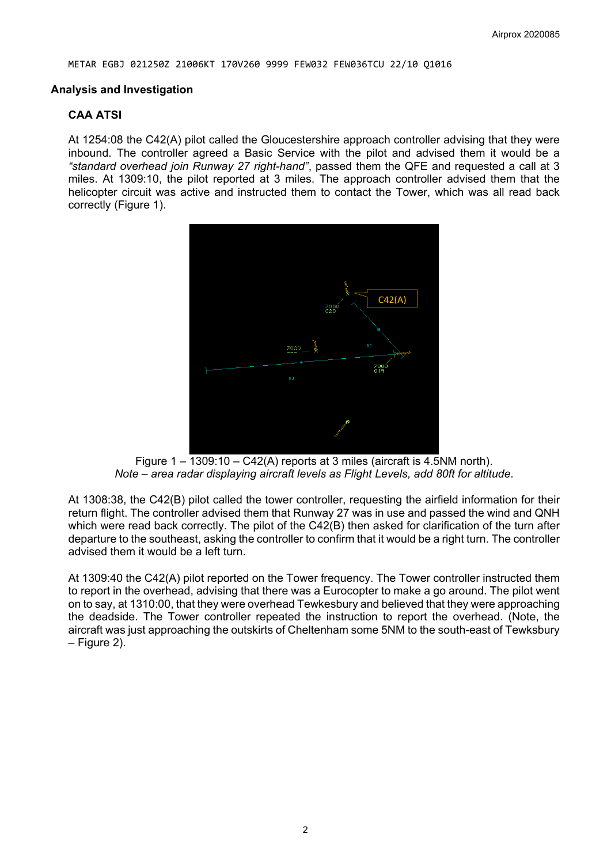#### **Analysis and Investigation**

### **CAA ATSI**

At 1254:08 the C42(A) pilot called the Gloucestershire approach controller advising that they were inbound. The controller agreed a Basic Service with the pilot and advised them it would be a *"standard overhead join Runway 27 right-hand"*, passed them the QFE and requested a call at 3 miles. At 1309:10, the pilot reported at 3 miles. The approach controller advised them that the helicopter circuit was active and instructed them to contact the Tower, which was all read back correctly (Figure 1).



Figure  $1 - \overline{1309:10 - C42(A)}$  reports at 3 miles (aircraft is 4.5NM north). *Note – area radar displaying aircraft levels as Flight Levels, add 80ft for altitude*.

At 1308:38, the C42(B) pilot called the tower controller, requesting the airfield information for their return flight. The controller advised them that Runway 27 was in use and passed the wind and QNH which were read back correctly. The pilot of the C42(B) then asked for clarification of the turn after departure to the southeast, asking the controller to confirm that it would be a right turn. The controller advised them it would be a left turn.

At 1309:40 the C42(A) pilot reported on the Tower frequency. The Tower controller instructed them to report in the overhead, advising that there was a Eurocopter to make a go around. The pilot went on to say, at 1310:00, that they were overhead Tewkesbury and believed that they were approaching the deadside. The Tower controller repeated the instruction to report the overhead. (Note, the aircraft was just approaching the outskirts of Cheltenham some 5NM to the south-east of Tewksbury – Figure 2).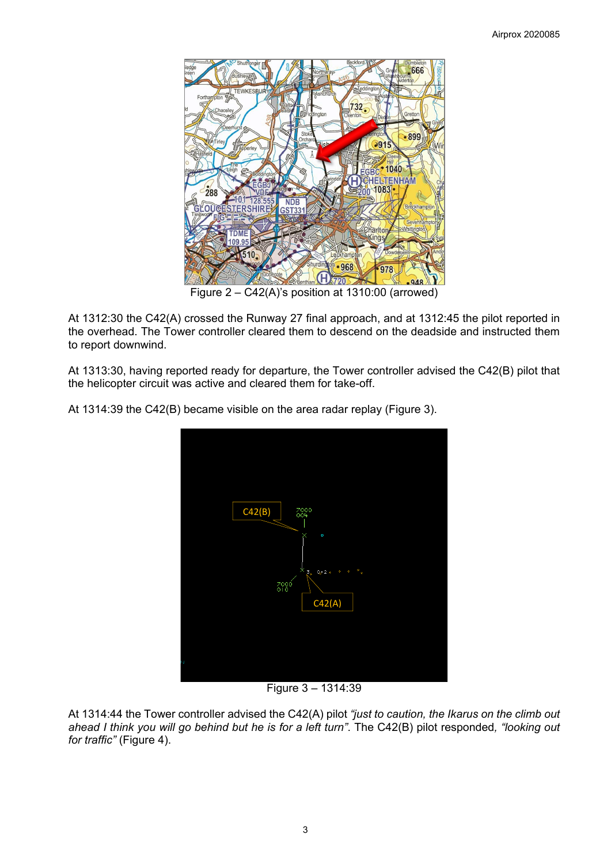

Figure 2 – C42(A)'s position at 1310:00 (arrowed)

At 1312:30 the C42(A) crossed the Runway 27 final approach, and at 1312:45 the pilot reported in the overhead. The Tower controller cleared them to descend on the deadside and instructed them to report downwind.

At 1313:30, having reported ready for departure, the Tower controller advised the C42(B) pilot that the helicopter circuit was active and cleared them for take-off.

At 1314:39 the C42(B) became visible on the area radar replay (Figure 3).



Figure 3 – 1314:39

At 1314:44 the Tower controller advised the C42(A) pilot *"just to caution, the Ikarus on the climb out ahead I think you will go behind but he is for a left turn"*. The C42(B) pilot responded*, "looking out for traffic"* (Figure 4).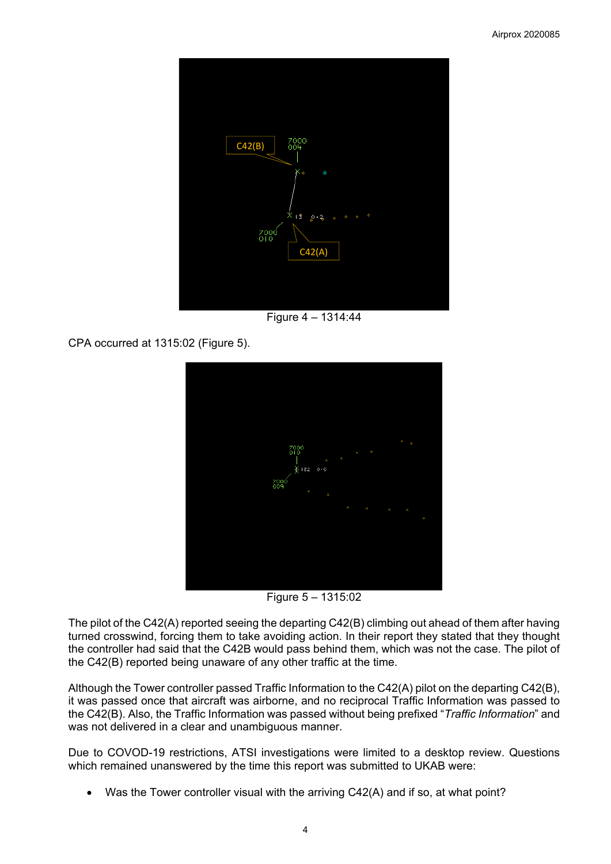

Figure 4 – 1314:44

CPA occurred at 1315:02 (Figure 5).



Figure 5 – 1315:02

The pilot of the C42(A) reported seeing the departing C42(B) climbing out ahead of them after having turned crosswind, forcing them to take avoiding action. In their report they stated that they thought the controller had said that the C42B would pass behind them, which was not the case. The pilot of the C42(B) reported being unaware of any other traffic at the time.

Although the Tower controller passed Traffic Information to the C42(A) pilot on the departing C42(B), it was passed once that aircraft was airborne, and no reciprocal Traffic Information was passed to the C42(B). Also, the Traffic Information was passed without being prefixed "*Traffic Information*" and was not delivered in a clear and unambiguous manner.

Due to COVOD-19 restrictions, ATSI investigations were limited to a desktop review. Questions which remained unanswered by the time this report was submitted to UKAB were:

Was the Tower controller visual with the arriving  $C42(A)$  and if so, at what point?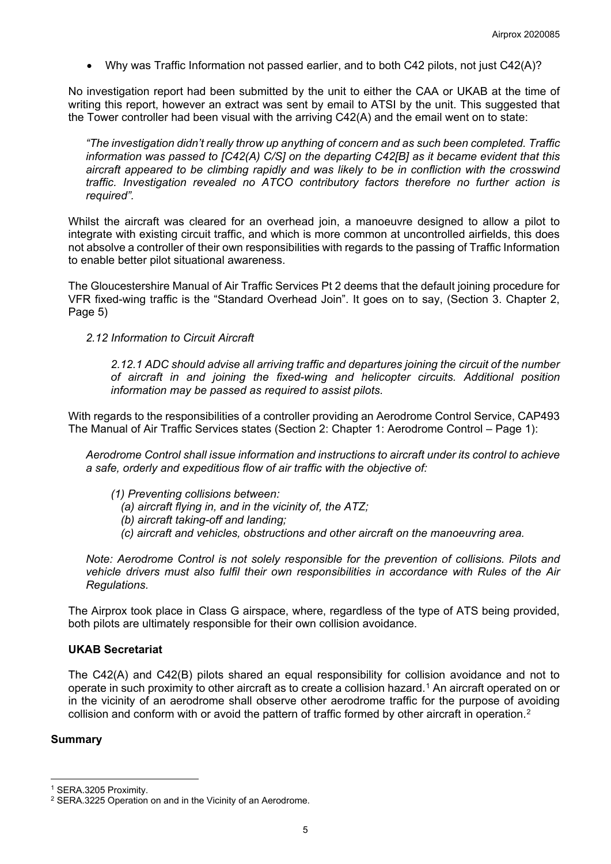• Why was Traffic Information not passed earlier, and to both C42 pilots, not just C42(A)?

No investigation report had been submitted by the unit to either the CAA or UKAB at the time of writing this report, however an extract was sent by email to ATSI by the unit. This suggested that the Tower controller had been visual with the arriving C42(A) and the email went on to state:

*"The investigation didn't really throw up anything of concern and as such been completed. Traffic information was passed to [C42(A) C/S] on the departing C42[B] as it became evident that this aircraft appeared to be climbing rapidly and was likely to be in confliction with the crosswind traffic. Investigation revealed no ATCO contributory factors therefore no further action is required".*

Whilst the aircraft was cleared for an overhead join, a manoeuvre designed to allow a pilot to integrate with existing circuit traffic, and which is more common at uncontrolled airfields, this does not absolve a controller of their own responsibilities with regards to the passing of Traffic Information to enable better pilot situational awareness.

The Gloucestershire Manual of Air Traffic Services Pt 2 deems that the default joining procedure for VFR fixed-wing traffic is the "Standard Overhead Join". It goes on to say, (Section 3. Chapter 2, Page 5)

*2.12 Information to Circuit Aircraft* 

*2.12.1 ADC should advise all arriving traffic and departures joining the circuit of the number of aircraft in and joining the fixed-wing and helicopter circuits. Additional position information may be passed as required to assist pilots.*

With regards to the responsibilities of a controller providing an Aerodrome Control Service, CAP493 The Manual of Air Traffic Services states (Section 2: Chapter 1: Aerodrome Control – Page 1):

*Aerodrome Control shall issue information and instructions to aircraft under its control to achieve a safe, orderly and expeditious flow of air traffic with the objective of:* 

- *(1) Preventing collisions between:* 
	- *(a) aircraft flying in, and in the vicinity of, the ATZ;*
	- *(b) aircraft taking-off and landing;*
	- *(c) aircraft and vehicles, obstructions and other aircraft on the manoeuvring area.*

*Note: Aerodrome Control is not solely responsible for the prevention of collisions. Pilots and vehicle drivers must also fulfil their own responsibilities in accordance with Rules of the Air Regulations.*

The Airprox took place in Class G airspace, where, regardless of the type of ATS being provided, both pilots are ultimately responsible for their own collision avoidance.

## **UKAB Secretariat**

The C42(A) and C42(B) pilots shared an equal responsibility for collision avoidance and not to operate in such proximity to other aircraft as to create a collision hazard.[1](#page-4-0) An aircraft operated on or in the vicinity of an aerodrome shall observe other aerodrome traffic for the purpose of avoiding collision and conform with or avoid the pattern of traffic formed by other aircraft in operation.[2](#page-4-1)

#### **Summary**

<span id="page-4-0"></span><sup>1</sup> SERA.3205 Proximity.

<span id="page-4-1"></span><sup>2</sup> SERA.3225 Operation on and in the Vicinity of an Aerodrome.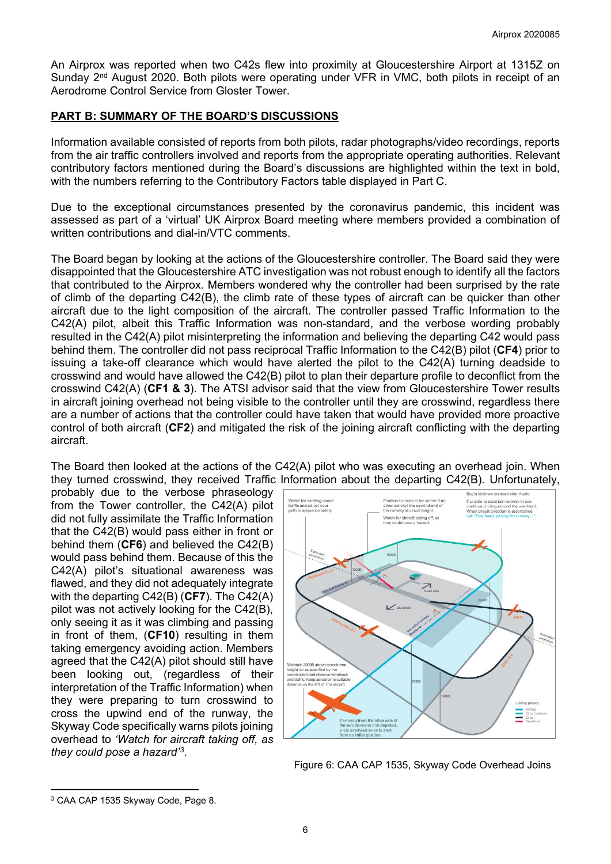An Airprox was reported when two C42s flew into proximity at Gloucestershire Airport at 1315Z on Sunday 2<sup>nd</sup> August 2020. Both pilots were operating under VFR in VMC, both pilots in receipt of an Aerodrome Control Service from Gloster Tower.

### **PART B: SUMMARY OF THE BOARD'S DISCUSSIONS**

Information available consisted of reports from both pilots, radar photographs/video recordings, reports from the air traffic controllers involved and reports from the appropriate operating authorities. Relevant contributory factors mentioned during the Board's discussions are highlighted within the text in bold, with the numbers referring to the Contributory Factors table displayed in Part C.

Due to the exceptional circumstances presented by the coronavirus pandemic, this incident was assessed as part of a 'virtual' UK Airprox Board meeting where members provided a combination of written contributions and dial-in/VTC comments.

The Board began by looking at the actions of the Gloucestershire controller. The Board said they were disappointed that the Gloucestershire ATC investigation was not robust enough to identify all the factors that contributed to the Airprox. Members wondered why the controller had been surprised by the rate of climb of the departing C42(B), the climb rate of these types of aircraft can be quicker than other aircraft due to the light composition of the aircraft. The controller passed Traffic Information to the C42(A) pilot, albeit this Traffic Information was non-standard, and the verbose wording probably resulted in the C42(A) pilot misinterpreting the information and believing the departing C42 would pass behind them. The controller did not pass reciprocal Traffic Information to the C42(B) pilot (**CF4**) prior to issuing a take-off clearance which would have alerted the pilot to the C42(A) turning deadside to crosswind and would have allowed the C42(B) pilot to plan their departure profile to deconflict from the crosswind C42(A) (**CF1 & 3**). The ATSI advisor said that the view from Gloucestershire Tower results in aircraft joining overhead not being visible to the controller until they are crosswind, regardless there are a number of actions that the controller could have taken that would have provided more proactive control of both aircraft (**CF2**) and mitigated the risk of the joining aircraft conflicting with the departing aircraft.

The Board then looked at the actions of the C42(A) pilot who was executing an overhead join. When they turned crosswind, they received Traffic Information about the departing C42(B). Unfortunately,

probably due to the verbose phraseology from the Tower controller, the C42(A) pilot did not fully assimilate the Traffic Information that the C42(B) would pass either in front or behind them (**CF6**) and believed the C42(B) would pass behind them. Because of this the C42(A) pilot's situational awareness was flawed, and they did not adequately integrate with the departing C42(B) (**CF7**). The C42(A) pilot was not actively looking for the C42(B), only seeing it as it was climbing and passing in front of them, (**CF10**) resulting in them taking emergency avoiding action. Members agreed that the C42(A) pilot should still have been looking out, (regardless of their interpretation of the Traffic Information) when they were preparing to turn crosswind to cross the upwind end of the runway, the Skyway Code specifically warns pilots joining overhead to *'Watch for aircraft taking off, as they could pose a hazard'[3](#page-5-0)*.



Figure 6: CAA CAP 1535, Skyway Code Overhead Joins

<span id="page-5-0"></span><sup>3</sup> CAA CAP 1535 Skyway Code, Page 8.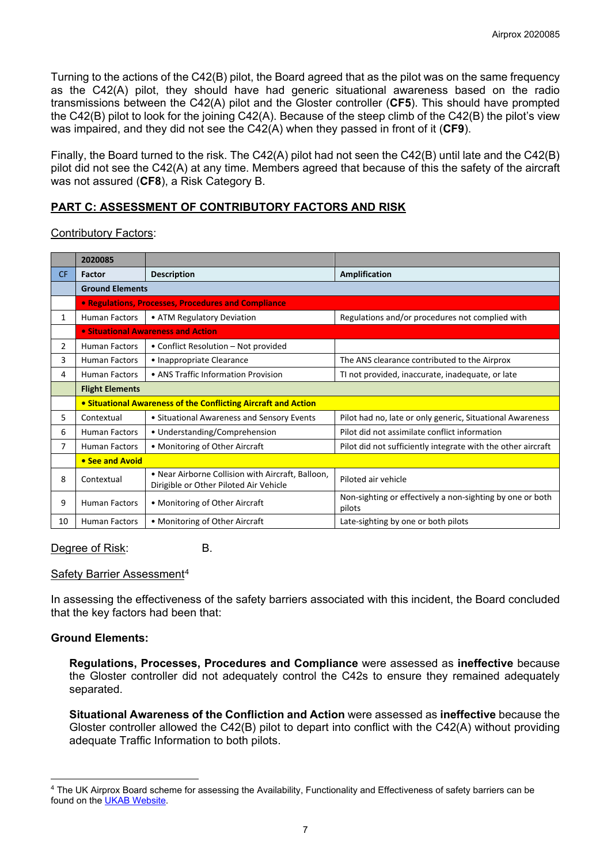Turning to the actions of the C42(B) pilot, the Board agreed that as the pilot was on the same frequency as the C42(A) pilot, they should have had generic situational awareness based on the radio transmissions between the C42(A) pilot and the Gloster controller (**CF5**). This should have prompted the C42(B) pilot to look for the joining C42(A). Because of the steep climb of the C42(B) the pilot's view was impaired, and they did not see the C42(A) when they passed in front of it (**CF9**).

Finally, the Board turned to the risk. The C42(A) pilot had not seen the C42(B) until late and the C42(B) pilot did not see the C42(A) at any time. Members agreed that because of this the safety of the aircraft was not assured (**CF8**), a Risk Category B.

# **PART C: ASSESSMENT OF CONTRIBUTORY FACTORS AND RISK**

### Contributory Factors:

|           | 2020085                                                        |                                                                                             |                                                                     |  |  |  |  |  |  |
|-----------|----------------------------------------------------------------|---------------------------------------------------------------------------------------------|---------------------------------------------------------------------|--|--|--|--|--|--|
| <b>CF</b> | Factor                                                         | <b>Description</b>                                                                          | Amplification                                                       |  |  |  |  |  |  |
|           | <b>Ground Elements</b>                                         |                                                                                             |                                                                     |  |  |  |  |  |  |
|           |                                                                | • Regulations, Processes, Procedures and Compliance                                         |                                                                     |  |  |  |  |  |  |
| 1         | <b>Human Factors</b>                                           | • ATM Regulatory Deviation                                                                  | Regulations and/or procedures not complied with                     |  |  |  |  |  |  |
|           | • Situational Awareness and Action                             |                                                                                             |                                                                     |  |  |  |  |  |  |
| 2         | <b>Human Factors</b>                                           | • Conflict Resolution – Not provided                                                        |                                                                     |  |  |  |  |  |  |
| 3         | <b>Human Factors</b>                                           | • Inappropriate Clearance                                                                   | The ANS clearance contributed to the Airprox                        |  |  |  |  |  |  |
| 4         | <b>Human Factors</b>                                           | • ANS Traffic Information Provision                                                         | TI not provided, inaccurate, inadequate, or late                    |  |  |  |  |  |  |
|           | <b>Flight Elements</b>                                         |                                                                                             |                                                                     |  |  |  |  |  |  |
|           | • Situational Awareness of the Conflicting Aircraft and Action |                                                                                             |                                                                     |  |  |  |  |  |  |
| 5         | Contextual                                                     | • Situational Awareness and Sensory Events                                                  | Pilot had no, late or only generic, Situational Awareness           |  |  |  |  |  |  |
| 6         | <b>Human Factors</b>                                           | • Understanding/Comprehension                                                               | Pilot did not assimilate conflict information                       |  |  |  |  |  |  |
| 7         | • Monitoring of Other Aircraft<br><b>Human Factors</b>         |                                                                                             | Pilot did not sufficiently integrate with the other aircraft        |  |  |  |  |  |  |
|           | • See and Avoid                                                |                                                                                             |                                                                     |  |  |  |  |  |  |
| 8         | Contextual                                                     | • Near Airborne Collision with Aircraft, Balloon,<br>Dirigible or Other Piloted Air Vehicle | Piloted air vehicle                                                 |  |  |  |  |  |  |
| 9         | <b>Human Factors</b>                                           | • Monitoring of Other Aircraft                                                              | Non-sighting or effectively a non-sighting by one or both<br>pilots |  |  |  |  |  |  |
| 10        | <b>Human Factors</b>                                           | • Monitoring of Other Aircraft                                                              | Late-sighting by one or both pilots                                 |  |  |  |  |  |  |

Degree of Risk: B.

#### Safety Barrier Assessment[4](#page-6-0)

In assessing the effectiveness of the safety barriers associated with this incident, the Board concluded that the key factors had been that:

## **Ground Elements:**

**Regulations, Processes, Procedures and Compliance** were assessed as **ineffective** because the Gloster controller did not adequately control the C42s to ensure they remained adequately separated.

**Situational Awareness of the Confliction and Action** were assessed as **ineffective** because the Gloster controller allowed the C42(B) pilot to depart into conflict with the C42(A) without providing adequate Traffic Information to both pilots.

<span id="page-6-0"></span><sup>4</sup> The UK Airprox Board scheme for assessing the Availability, Functionality and Effectiveness of safety barriers can be found on the [UKAB Website.](http://www.airproxboard.org.uk/Learn-more/Airprox-Barrier-Assessment/)